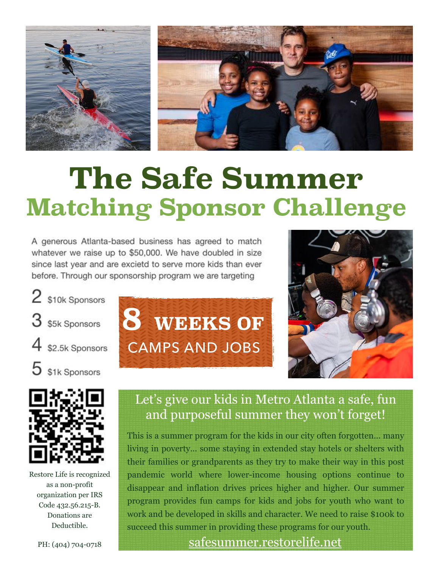

# **The Safe Summer Matching Sponsor Challenge**

A generous Atlanta-based business has agreed to match whatever we raise up to \$50,000. We have doubled in size since last year and are excietd to serve more kids than ever before. Through our sponsorship program we are targeting





Restore Life is recognized as a non-profit organization per IRS Code 432.56.215-B. Donations are Deductible.





## Let's give our kids in Metro Atlanta a safe, fun and purposeful summer they won't forget!

This is a summer program for the kids in our city often forgotten... many living in poverty... some staying in extended stay hotels or shelters with their families or grandparents as they try to make their way in this post pandemic world where lower-income housing options continue to disappear and inflation drives prices higher and higher. Our summer program provides fun camps for kids and jobs for youth who want to work and be developed in skills and character. We need to raise \$100k to succeed this summer in providing these programs for our youth.

### [safesummer.restorelife.net](http://safesummer.restorelife.net)

PH: (404) 704-0718